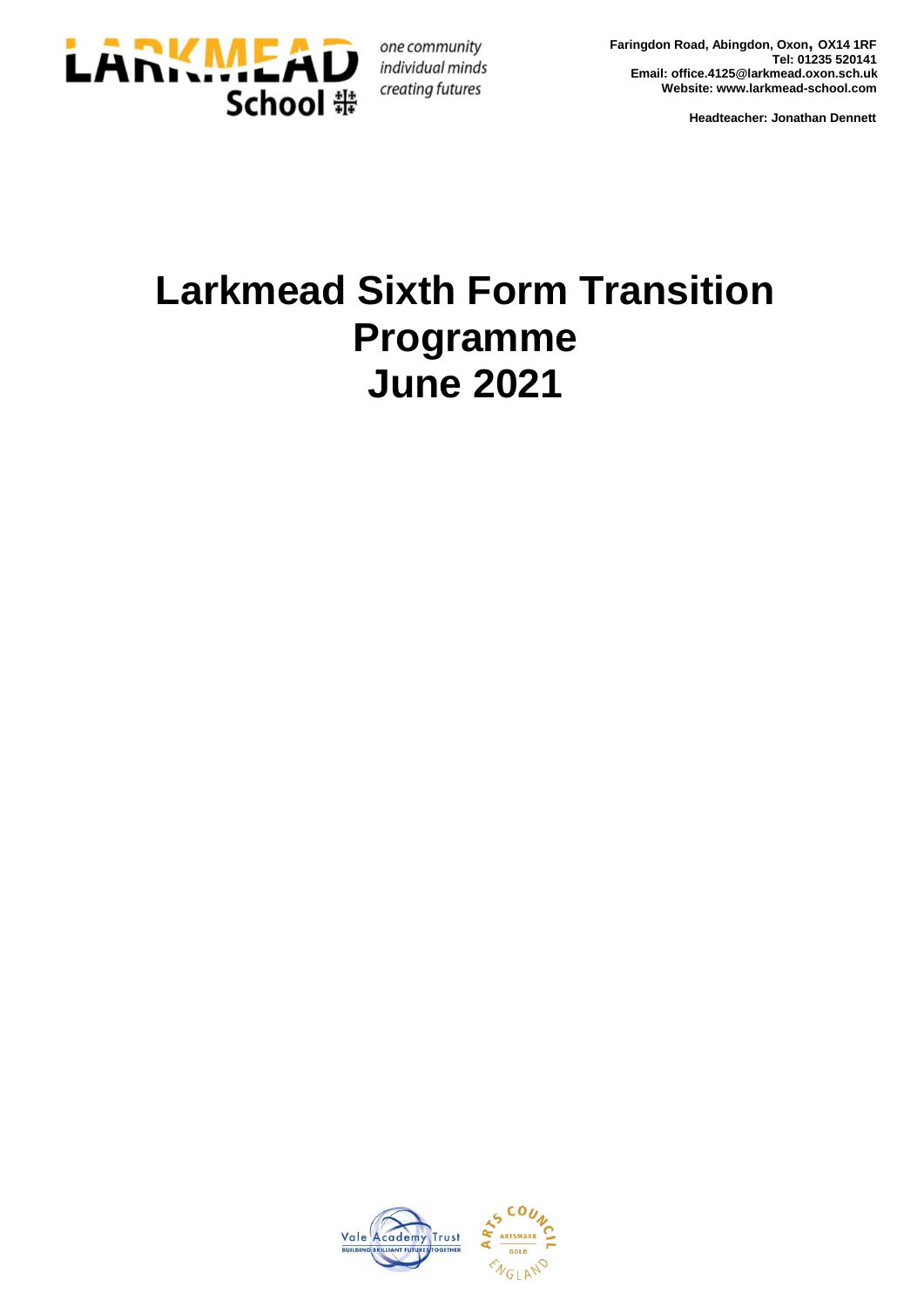

**Faringdon Road, Abingdon, Oxon, OX14 1RF Tel: 01235 520141 Email: office.4125@larkmead.oxon.sch.uk Website: www.larkmead-school.com**

 **Headteacher: Jonathan Dennett**

# **Larkmead Sixth Form Transition Programme June 2021**

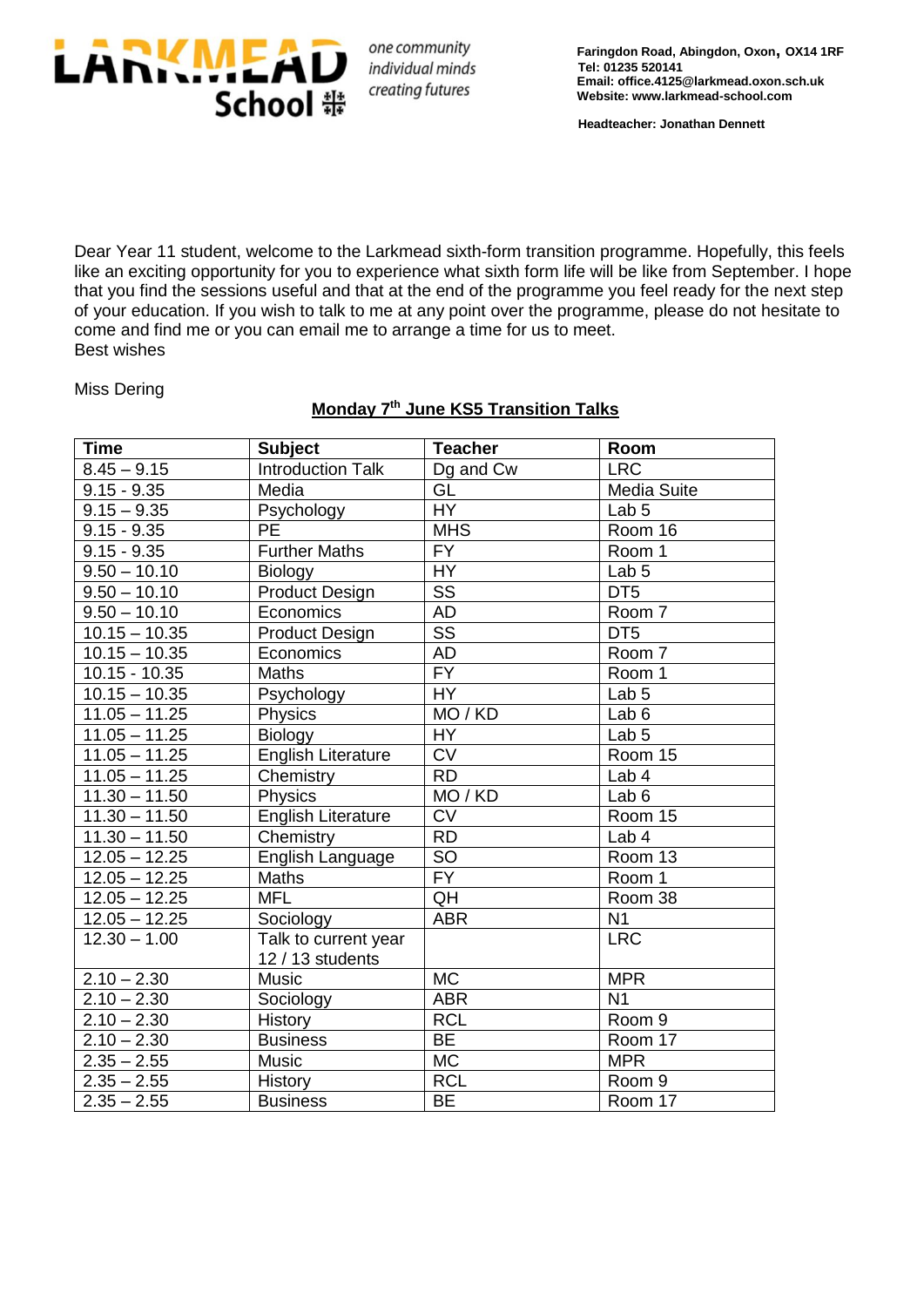

 **Headteacher: Jonathan Dennett**

Dear Year 11 student, welcome to the Larkmead sixth-form transition programme. Hopefully, this feels like an exciting opportunity for you to experience what sixth form life will be like from September. I hope that you find the sessions useful and that at the end of the programme you feel ready for the next step of your education. If you wish to talk to me at any point over the programme, please do not hesitate to come and find me or you can email me to arrange a time for us to meet. Best wishes

Miss Dering

## **Monday 7th June KS5 Transition Talks**

| <b>Time</b>     | <b>Subject</b>            | <b>Teacher</b>         | Room               |
|-----------------|---------------------------|------------------------|--------------------|
| $8.45 - 9.15$   | <b>Introduction Talk</b>  | Dg and Cw              | <b>LRC</b>         |
| $9.15 - 9.35$   | Media                     | $\overline{GL}$        | <b>Media Suite</b> |
| $9.15 - 9.35$   | Psychology                | <b>HY</b>              | Lab <sub>5</sub>   |
| $9.15 - 9.35$   | <b>PE</b>                 | <b>MHS</b>             | Room 16            |
| $9.15 - 9.35$   | <b>Further Maths</b>      | $\overline{FY}$        | Room 1             |
| $9.50 - 10.10$  | Biology                   | $\overline{HY}$        | Lab <sub>5</sub>   |
| $9.50 - 10.10$  | <b>Product Design</b>     | $\overline{\text{ss}}$ | DT <sub>5</sub>    |
| $9.50 - 10.10$  | Economics                 | <b>AD</b>              | Room 7             |
| $10.15 - 10.35$ | <b>Product Design</b>     | $\overline{\text{SS}}$ | DT <sub>5</sub>    |
| $10.15 - 10.35$ | Economics                 | <b>AD</b>              | Room 7             |
| $10.15 - 10.35$ | <b>Maths</b>              | <b>FY</b>              | Room 1             |
| $10.15 - 10.35$ | Psychology                | <b>HY</b>              | Lab <sub>5</sub>   |
| $11.05 - 11.25$ | Physics                   | $MO / K\overline{D}$   | Lab <sub>6</sub>   |
| $11.05 - 11.25$ | Biology                   | <b>HY</b>              | Lab <sub>5</sub>   |
| $11.05 - 11.25$ | English Literature        | $\overline{\text{CV}}$ | Room 15            |
| $11.05 - 11.25$ | Chemistry                 | <b>RD</b>              | Lab 4              |
| $11.30 - 11.50$ | Physics                   | $MO / K\overline{D}$   | Lab <sub>6</sub>   |
| $11.30 - 11.50$ | <b>English Literature</b> | $\overline{\text{CV}}$ | Room 15            |
| $11.30 - 11.50$ | Chemistry                 | <b>RD</b>              | Lab 4              |
| $12.05 - 12.25$ | English Language          | $\overline{SO}$        | Room 13            |
| $12.05 - 12.25$ | <b>Maths</b>              | $\overline{FY}$        | Room 1             |
| $12.05 - 12.25$ | <b>MFL</b>                | QH                     | Room 38            |
| $12.05 - 12.25$ | Sociology                 | <b>ABR</b>             | N <sub>1</sub>     |
| $12.30 - 1.00$  | Talk to current year      |                        | <b>LRC</b>         |
|                 | 12 / 13 students          |                        |                    |
| $2.10 - 2.30$   | Music                     | MC                     | <b>MPR</b>         |
| $2.10 - 2.30$   | Sociology                 | <b>ABR</b>             | N <sub>1</sub>     |
| $2.10 - 2.30$   | History                   | <b>RCL</b>             | Room 9             |
| $2.10 - 2.30$   | <b>Business</b>           | <b>BE</b>              | Room 17            |
| $2.35 - 2.55$   | <b>Music</b>              | <b>MC</b>              | <b>MPR</b>         |
| $2.35 - 2.55$   | <b>History</b>            | <b>RCL</b>             | Room 9             |
| $2.35 - 2.55$   | <b>Business</b>           | <b>BE</b>              | Room 17            |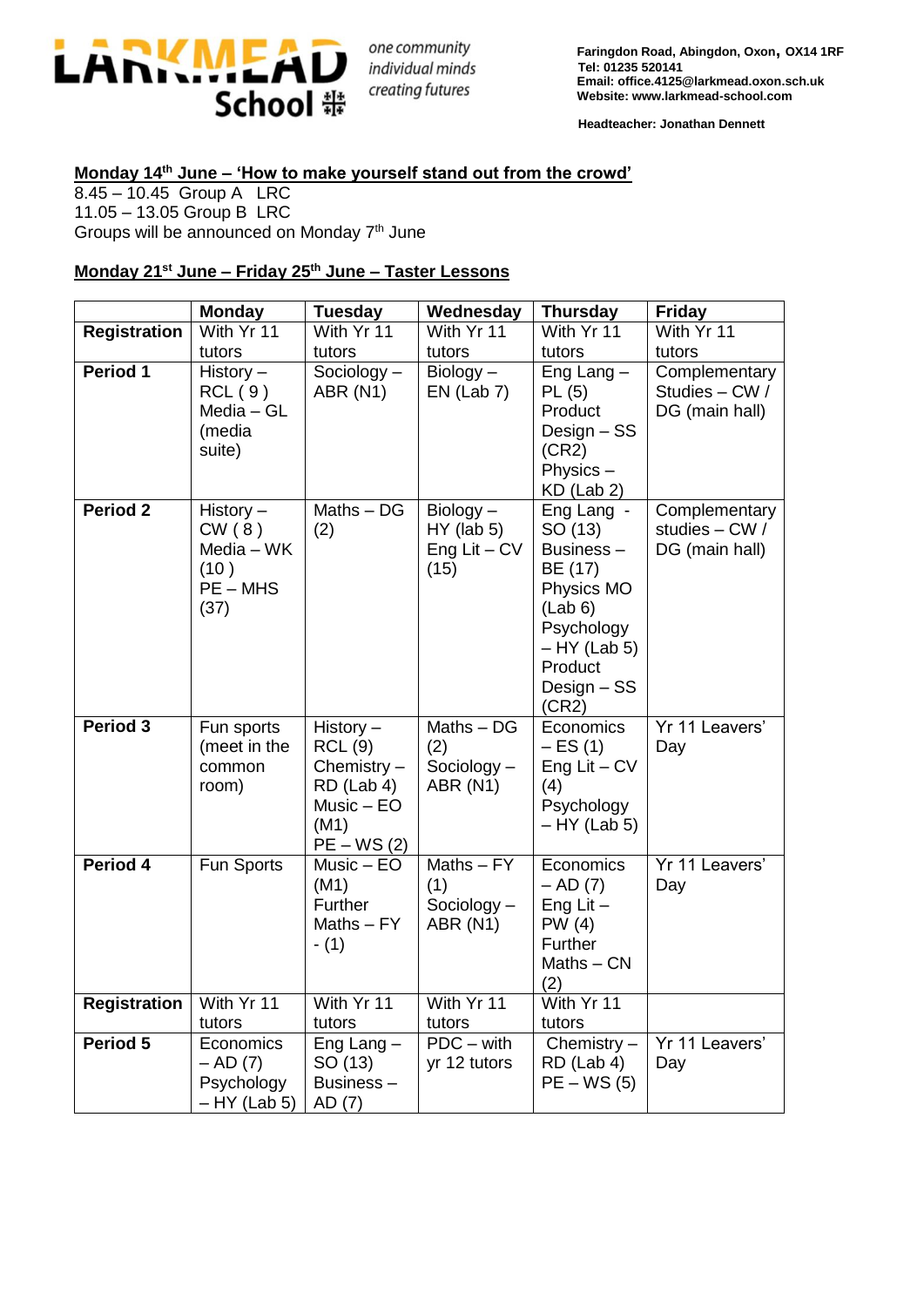

 **Headteacher: Jonathan Dennett**

## **Monday 14th June – 'How to make yourself stand out from the crowd'**

8.45 – 10.45 Group A LRC 11.05 – 13.05 Group B LRC Groups will be announced on Monday 7<sup>th</sup> June

## **Monday 21st June – Friday 25th June – Taster Lessons**

|                     | <b>Monday</b>                                                    | <b>Tuesday</b>                                                                                        | Wednesday                                            | <b>Thursday</b>                                                                                                                          | <b>Friday</b>                                     |
|---------------------|------------------------------------------------------------------|-------------------------------------------------------------------------------------------------------|------------------------------------------------------|------------------------------------------------------------------------------------------------------------------------------------------|---------------------------------------------------|
| <b>Registration</b> | With Yr 11                                                       | With Yr 11                                                                                            | With Yr 11                                           | With Yr 11                                                                                                                               | With Yr 11                                        |
|                     | tutors                                                           | tutors                                                                                                | tutors                                               | tutors                                                                                                                                   | tutors                                            |
| Period 1            | History $-$<br>RCL(9)<br>$Media - GL$<br>(media<br>suite)        | Sociology $-$<br>ABR (N1)                                                                             | $Biology -$<br>$EN$ (Lab 7)                          | Eng Lang $-$<br>PL(5)<br>Product<br>Design – SS<br>(CR2)<br>Physics $-$<br>$KD$ (Lab 2)                                                  | Complementary<br>Studies - CW /<br>DG (main hall) |
| <b>Period 2</b>     | History $-$<br>CW(8)<br>Media - WK<br>(10)<br>$PE - MHS$<br>(37) | Maths – DG<br>(2)                                                                                     | $Biology -$<br>$HY$ (lab 5)<br>Eng Lit $-CV$<br>(15) | Eng Lang -<br>SO (13)<br>Business-<br>BE (17)<br>Physics MO<br>(Lab 6)<br>Psychology<br>$-HY$ (Lab 5)<br>Product<br>Design - SS<br>(CR2) | Complementary<br>studies - CW /<br>DG (main hall) |
| Period 3            | Fun sports<br>(meet in the<br>common<br>room)                    | History $-$<br><b>RCL (9)</b><br>Chemistry $-$<br>RD (Lab 4)<br>$Music - EO$<br>(M1)<br>$PE - WS (2)$ | $Maths - DG$<br>(2)<br>Sociology-<br><b>ABR (N1)</b> | Economics<br>$-ES(1)$<br>Eng $Lit - CV$<br>(4)<br>Psychology<br>$-HY$ (Lab 5)                                                            | Yr 11 Leavers'<br>Day                             |
| Period 4            | Fun Sports                                                       | $Music - EO$<br>(M1)<br>Further<br>$Maths - FY$<br>$- (1)$                                            | $Maths - FY$<br>(1)<br>Sociology $-$<br>ABR (N1)     | Economics<br>$-$ AD $(7)$<br>Eng Lit $-$<br>PW(4)<br>Further<br>$Maths - CN$<br>(2)                                                      | Yr 11 Leavers'<br>Day                             |
| <b>Registration</b> | With Yr 11<br>tutors                                             | With Yr 11<br>tutors                                                                                  | With Yr 11<br>tutors                                 | With Yr 11<br>tutors                                                                                                                     |                                                   |
| Period 5            | Economics<br>$-$ AD $(7)$<br>Psychology<br>$-$ HY (Lab 5)        | Eng Lang-<br>SO (13)<br>Business-<br>AD (7)                                                           | $PDC - with$<br>yr 12 tutors                         | Chemistry -<br>$RD$ (Lab 4)<br>$PE - WS(5)$                                                                                              | Yr 11 Leavers'<br>Day                             |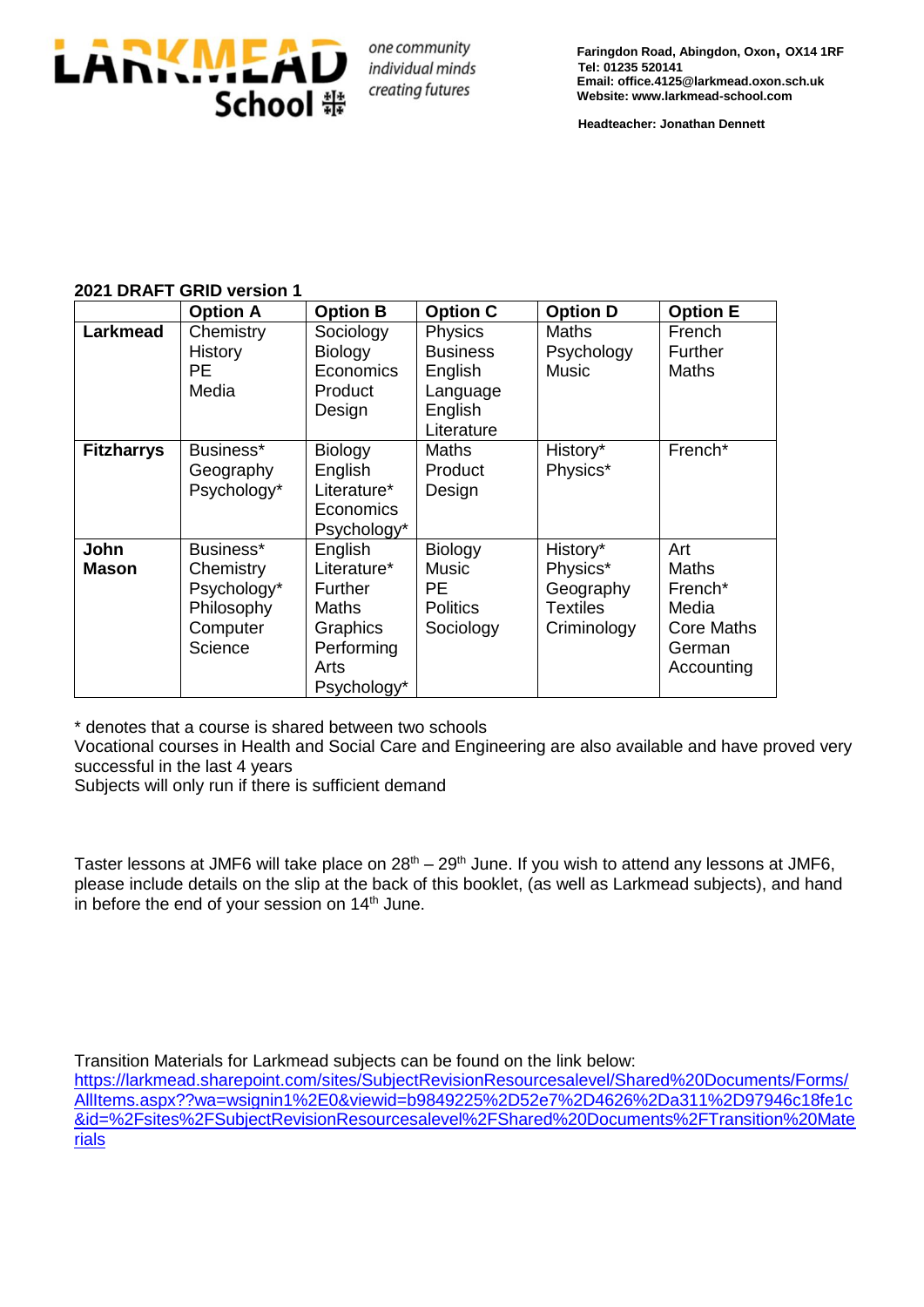

**Faringdon Road, Abingdon, Oxon, OX14 1RF Tel: 01235 520141 Email: office.4125@larkmead.oxon.sch.uk Website: www.larkmead-school.com**

 **Headteacher: Jonathan Dennett**

### **2021 DRAFT GRID version 1**

|                      | <b>Option A</b>                                                            | <b>Option B</b>                                                                                    | <b>Option C</b>                                                             | <b>Option D</b>                                                     | <b>Option E</b>                                                                      |
|----------------------|----------------------------------------------------------------------------|----------------------------------------------------------------------------------------------------|-----------------------------------------------------------------------------|---------------------------------------------------------------------|--------------------------------------------------------------------------------------|
| <b>Larkmead</b>      | Chemistry<br><b>History</b><br>PE.<br>Media                                | Sociology<br><b>Biology</b><br>Economics<br>Product<br>Design                                      | Physics<br><b>Business</b><br>English<br>Language<br>English<br>Literature  | <b>Maths</b><br>Psychology<br><b>Music</b>                          | French<br><b>Further</b><br><b>Maths</b>                                             |
| <b>Fitzharrys</b>    | Business*<br>Geography<br>Psychology*                                      | Biology<br>English<br>Literature*<br>Economics<br>Psychology*                                      | Maths<br>Product<br>Design                                                  | History*<br>Physics*                                                | French*                                                                              |
| John<br><b>Mason</b> | Business*<br>Chemistry<br>Psychology*<br>Philosophy<br>Computer<br>Science | English<br>Literature*<br><b>Further</b><br>Maths<br>Graphics<br>Performing<br>Arts<br>Psychology* | <b>Biology</b><br><b>Music</b><br><b>PE</b><br><b>Politics</b><br>Sociology | History*<br>Physics*<br>Geography<br><b>Textiles</b><br>Criminology | Art<br><b>Maths</b><br>French*<br>Media<br><b>Core Maths</b><br>German<br>Accounting |

\* denotes that a course is shared between two schools

Vocational courses in Health and Social Care and Engineering are also available and have proved very successful in the last 4 years

Subjects will only run if there is sufficient demand

Taster lessons at JMF6 will take place on  $28<sup>th</sup> - 29<sup>th</sup>$  June. If you wish to attend any lessons at JMF6, please include details on the slip at the back of this booklet, (as well as Larkmead subjects), and hand in before the end of your session on 14<sup>th</sup> June.

Transition Materials for Larkmead subjects can be found on the link below:

[https://larkmead.sharepoint.com/sites/SubjectRevisionResourcesalevel/Shared%20Documents/Forms/](https://larkmead.sharepoint.com/sites/SubjectRevisionResourcesalevel/Shared%20Documents/Forms/AllItems.aspx??wa=wsignin1%2E0&viewid=b9849225%2D52e7%2D4626%2Da311%2D97946c18fe1c&id=%2Fsites%2FSubjectRevisionResourcesalevel%2FShared%20Documents%2FTransition%20Materials) [AllItems.aspx??wa=wsignin1%2E0&viewid=b9849225%2D52e7%2D4626%2Da311%2D97946c18fe1c](https://larkmead.sharepoint.com/sites/SubjectRevisionResourcesalevel/Shared%20Documents/Forms/AllItems.aspx??wa=wsignin1%2E0&viewid=b9849225%2D52e7%2D4626%2Da311%2D97946c18fe1c&id=%2Fsites%2FSubjectRevisionResourcesalevel%2FShared%20Documents%2FTransition%20Materials) [&id=%2Fsites%2FSubjectRevisionResourcesalevel%2FShared%20Documents%2FTransition%20Mate](https://larkmead.sharepoint.com/sites/SubjectRevisionResourcesalevel/Shared%20Documents/Forms/AllItems.aspx??wa=wsignin1%2E0&viewid=b9849225%2D52e7%2D4626%2Da311%2D97946c18fe1c&id=%2Fsites%2FSubjectRevisionResourcesalevel%2FShared%20Documents%2FTransition%20Materials) [rials](https://larkmead.sharepoint.com/sites/SubjectRevisionResourcesalevel/Shared%20Documents/Forms/AllItems.aspx??wa=wsignin1%2E0&viewid=b9849225%2D52e7%2D4626%2Da311%2D97946c18fe1c&id=%2Fsites%2FSubjectRevisionResourcesalevel%2FShared%20Documents%2FTransition%20Materials)